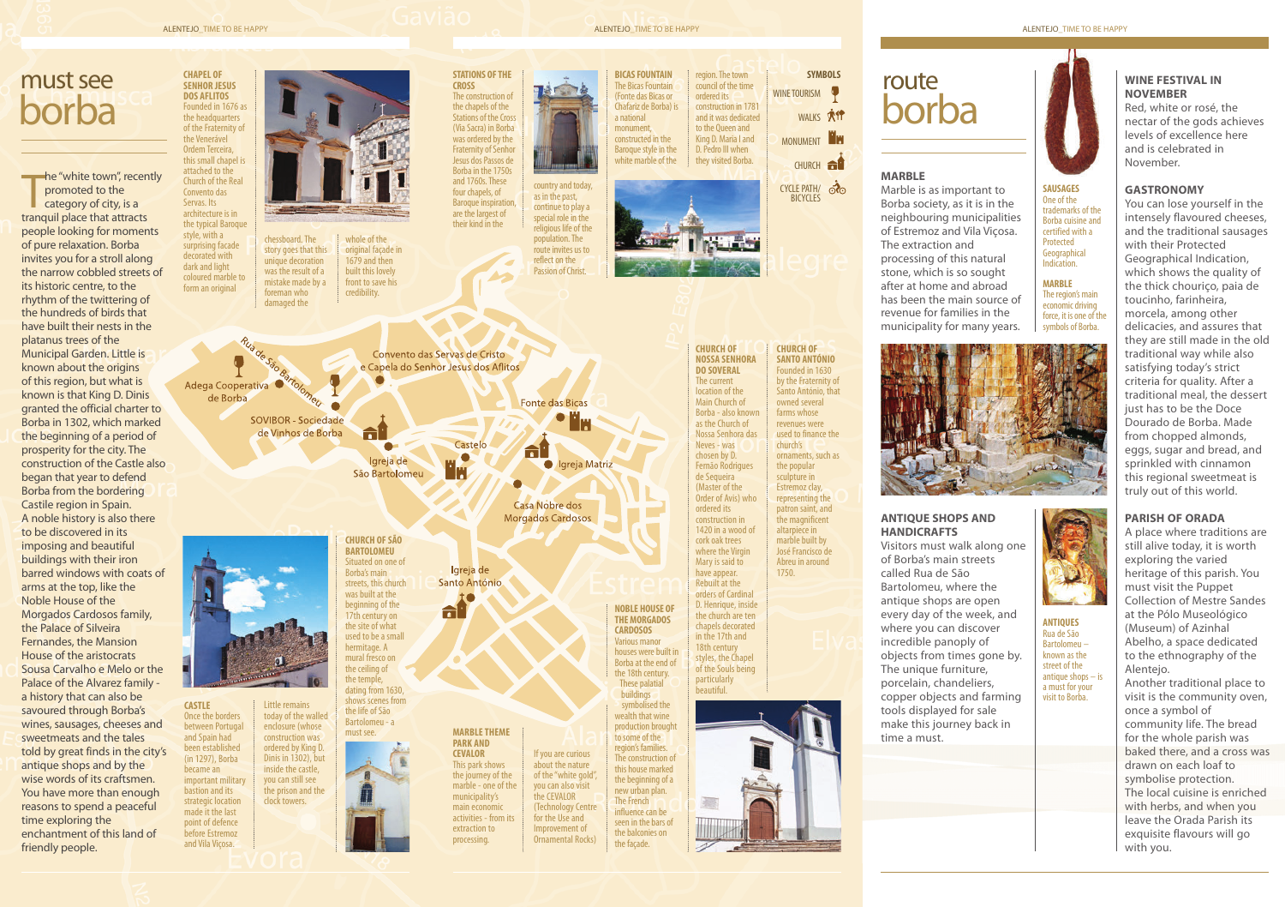## ALENTEJO\_TIME TO BE HAPPY **ALENTEJO\_TIME TO BE HAPPY** ALENTEJO\_TIME TO BE HAPPY